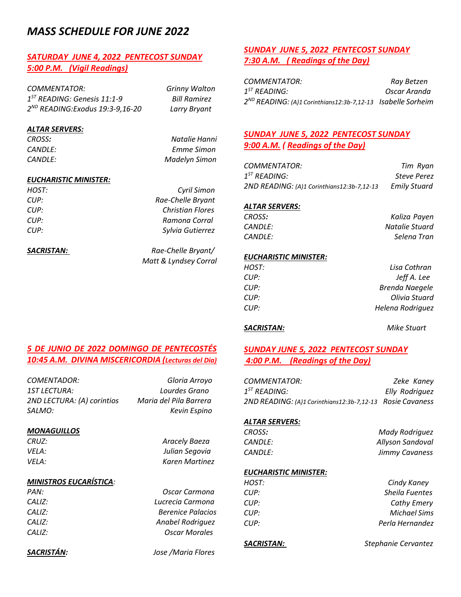# *MASS SCHEDULE FOR JUNE 2022*

# *SATURDAY JUNE 4, 2022 PENTECOST SUNDAY 5:00 P.M. (Vigil Readings)*

*COMMENTATOR: Grinny Walton 1 ST READING: Genesis 11:1-9 Bill Ramirez 2 ND READING:Exodus 19:3-9,16-20 Larry Bryant* 

### *ALTAR SERVERS:*

*CROSS: Natalie Hanni CANDLE: Emme Simon CANDLE: Madelyn Simon* 

## *EUCHARISTIC MINISTER:*

| HOST: | Cyril Simon             |
|-------|-------------------------|
| CUP:  | Rae-Chelle Bryant       |
| CUP:  | <b>Christian Flores</b> |
| CUP:  | Ramona Corral           |
| CUP:  | Sylvia Gutierrez        |
|       |                         |

*SACRISTAN: Rae-Chelle Bryant/ Matt & Lyndsey Corral*

# *SUNDAY JUNE 5, 2022 PENTECOST SUNDAY 7:30 A.M. ( Readings of the Day)*

| COMMENTATOR:                                                               | Ray Betzen   |
|----------------------------------------------------------------------------|--------------|
| $1^{57}$ READING:                                                          | Oscar Aranda |
| 2 <sup>ND</sup> READING: (A)1 Corinthians12:3b-7,12-13    Isabelle Sorheim |              |

# *SUNDAY JUNE 5, 2022 PENTECOST SUNDAY 9:00 A.M. ( Readings of the Day)*

*COMMENTATOR: Tim Ryan 1 ST READING: Steve Perez 2ND READING: (A)1 Corinthians12:3b-7,12-13 Emily Stuard*

#### *ALTAR SERVERS:*

| CROSS:         | Kaliza Payen   |
|----------------|----------------|
| <i>CANDLE:</i> | Natalie Stuard |
| <i>CANDLE:</i> | Selena Tran    |

### *EUCHARISTIC MINISTER:*

| HOST: | Lisa Cothran          |
|-------|-----------------------|
| CUP:  | Jeff A. Lee           |
| CUP:  | <b>Brenda Naegele</b> |
| CUP:  | Olivia Stuard         |
| CUP:  | Helena Rodriguez      |
|       |                       |

## *SACRISTAN: Mike Stuart*

# *SUNDAY JUNE 5, 2022 PENTECOST SUNDAY 4:00 P.M. (Readings of the Day)*

| COMMENTATOR:                                              | Zeke Kaney     |
|-----------------------------------------------------------|----------------|
| $1^{ST}$ READING:                                         | Elly Rodriguez |
| 2ND READING: (A)1 Corinthians12:3b-7,12-13 Rosie Cavaness |                |

#### *ALTAR SERVERS:*

| CROSS:  | Mady Rodriguez   |
|---------|------------------|
| CANDLE: | Allyson Sandoval |
| CANDLE: | Jimmy Cavaness   |

## *EUCHARISTIC MINISTER:*

| HOST: | Cindy Kaney           |
|-------|-----------------------|
| CUP:  | <b>Sheila Fuentes</b> |
| CUP:  | <b>Cathy Emery</b>    |
| CUP:  | <b>Michael Sims</b>   |
| CUP:  | Perla Hernandez       |
|       |                       |

*SACRISTAN: Stephanie Cervantez* 

# *5 DE JUNIO DE 2022 DOMINGO DE PENTECOSTÉS 10:45 A.M. DIVINA MISCERICORDIA (Lecturas del Dia)*

| Gloria Arroyo          |
|------------------------|
| Lourdes Grano          |
| Maria del Pila Barrera |
| Kevin Espino           |
|                        |

#### *MONAGUILLOS*

*CRUZ: Aracely Baeza VELA: Julian Segovia VELA: Karen Martinez*

### *MINISTROS EUCARÍSTICA:*

| PAN:          | Oscar Carmona            |
|---------------|--------------------------|
| <i>CALIZ:</i> | Lucrecia Carmona         |
| <i>CALIZ:</i> | <b>Berenice Palacios</b> |
| <i>CALIZ:</i> | Anabel Rodriguez         |
| <i>CALIZ:</i> | <b>Oscar Morales</b>     |
|               |                          |

*SACRISTÁN: Jose /Maria Flores*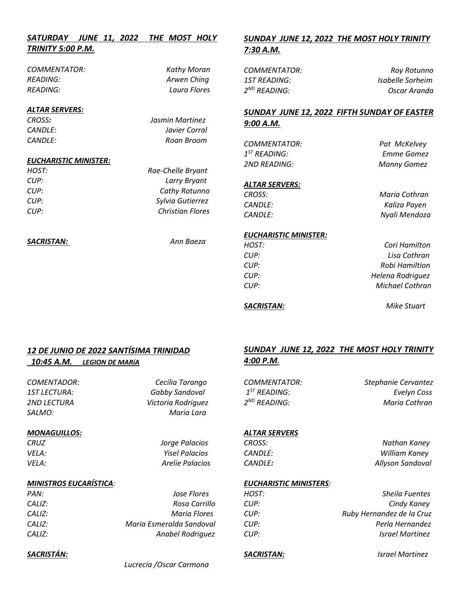| SATURDAY JUNE 11, 2022 THE MOST HOLY |  |  |  |
|--------------------------------------|--|--|--|
| TRINITY 5:00 P.M.                    |  |  |  |

*COMMENTATOR: Kathy Moran READING: Arwen Ching READING: Laura Flores*

## *ALTAR SERVERS:*

*CROSS: Jasmin Martinez CANDLE: Javier Corral CANDLE: Roan Broom* 

## *EUCHARISTIC MINISTER:*

| HOST: | Rae-Chelle Bryant       |
|-------|-------------------------|
| CUP:  | Larry Bryant            |
| ClIP: | <b>Cathy Rotunno</b>    |
| ClIP: | Sylvia Gutierrez        |
| ClIP: | <b>Christian Flores</b> |
|       |                         |

*SACRISTAN: Ann Baeza*

# *SUNDAY JUNE 12, 2022 THE MOST HOLY TRINITY 7:30 A.M.*

| COMMENTATOR:      | Roy Rotunno      |
|-------------------|------------------|
| 1ST READING:      | Isabelle Sorheim |
| $2^{ND}$ READING: | Oscar Aranda     |

# *SUNDAY JUNE 12, 2022 FIFTH SUNDAY OF EASTER 9:00 A.M.*

*COMMENTATOR: Pat McKelvey*   $1^{ST}$  RFADING: *2ND READING: Manny Gomez*

*ST READING: Emme Gomez*

#### *ALTAR SERVERS:*

*CROSS: Maria Cothran CANDLE: Kaliza Payen CANDLE: Nyali Mendoza*

#### *EUCHARISTIC MINISTER:*

| HOST: | Cori Hamilton    |
|-------|------------------|
| CUP:  | Lisa Cothran     |
| CUP:  | Robi Hamiltion   |
| CUP:  | Helena Rodriguez |
| CUP:  | Michael Cothran  |
|       |                  |

*SACRISTAN: Mike Stuart*

# *12 DE JUNIO DE 2022 SANTÍSIMA TRINIDAD*

# *10:45 A.M. LEGION DE MARíA*

*COMENTADOR: Cecilia Tarango 1ST LECTURA: Gabby Sandoval 2ND LECTURA Victoria Rodriguez SALMO: Maria Lara*

#### *MONAGUILLOS:*

*SACRISTÁN:* 

*CRUZ Jorge Palacios VELA: Yisel Palacios VELA: Arelie Palacios*

## *MINISTROS EUCARÍSTICA:*

| PAN:   | Jose Flores              |
|--------|--------------------------|
| CALIZ: | Rosa Carrillo            |
| CALIZ: | Maria Flores             |
| CALIZ: | Maria Esmeralda Sandoval |
| CALIZ: | Anabel Rodriguez         |

# *SUNDAY JUNE 12, 2022 THE MOST HOLY TRINITY 4:00 P.M.*

 $1<sup>ST</sup>$  READING: 2<sup>ND</sup> READING:

*COMMENTATOR: Stephanie Cervantez*  **Evelyn Coss** *Maria Cothran* 

#### *ALTAR SERVERS*

*CROSS: Nathan Kaney CANDLE: William Kaney CANDLE: Allyson Sandoval*

#### *EUCHARISTIC MINISTERS:*

| HOST: | <b>Sheila Fuentes</b>     |
|-------|---------------------------|
| CUP:  | Cindy Kaney               |
| CUP:  | Ruby Hernandez de la Cruz |
| ClIP: | Perla Hernandez           |
| ClIP: | <b>Israel Martinez</b>    |
|       |                           |

*SACRISTAN: Israel Martinez*

 *Lucrecia /Oscar Carmona*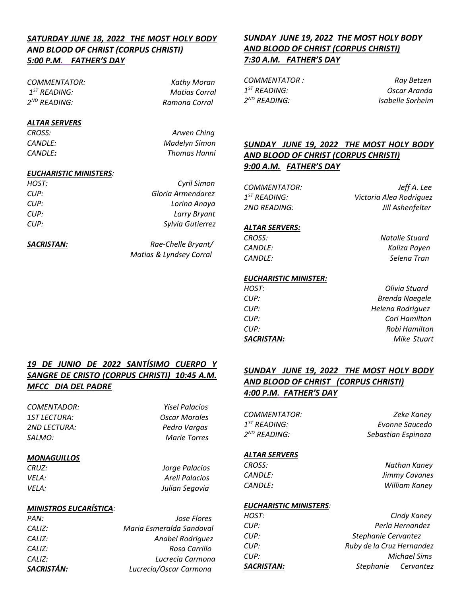# *SATURDAY JUNE 18, 2022 THE MOST HOLY BODY AND BLOOD OF CHRIST (CORPUS CHRISTI) 5:00 P.M. FATHER'S DAY*

*COMMENTATOR: Kathy Moran*   $1<sup>ST</sup>$  READING: 2<sup>ND</sup> READING:

*Matias Corral*  $R$ amona Corral

## *ALTAR SERVERS*

*CROSS: Arwen Ching CANDLE: Madelyn Simon CANDLE: Thomas Hanni*

# *EUCHARISTIC MINISTERS:*

| HOST: | Cyril Simon       |
|-------|-------------------|
| ClIP: | Gloria Armendarez |
| ClIP: | Lorina Anaya      |
| ClIP: | Larry Bryant      |
| ClIP: | Sylvia Gutierrez  |
|       |                   |

*SACRISTAN: Rae-Chelle Bryant/ Matias & Lyndsey Corral* 

# *SUNDAY JUNE 19, 2022 THE MOST HOLY BODY AND BLOOD OF CHRIST (CORPUS CHRISTI) 7:30 A.M. FATHER'S DAY*

 $1<sup>ST</sup>$  READING: 2<sup>ND</sup> READING:

*COMMENTATOR : Ray Betzen* **Oscar Aranda** *Isabelle Sorheim* 

# *SUNDAY JUNE 19, 2022 THE MOST HOLY BODY AND BLOOD OF CHRIST (CORPUS CHRISTI) 9:00 A.M. FATHER'S DAY*

 $1^{ST}$  READING:

*COMMENTATOR: Jeff A. Lee ST READING: Victoria Alea Rodriguez 2ND READING: Jill Ashenfelter*

# *ALTAR SERVERS:*

| CROSS:  | Natalie Stuard |
|---------|----------------|
| CANDLE: | Kaliza Payen   |
| CANDLE: | Selena Tran    |

## *EUCHARISTIC MINISTER:*

| Olivia Stuard         |
|-----------------------|
| <b>Brenda Naegele</b> |
| Helena Rodriguez      |
| Cori Hamilton         |
| Robi Hamilton         |
| Mike Stuart           |
|                       |

# *19 DE JUNIO DE 2022 SANTÍSIMO CUERPO Y SANGRE DE CRISTO (CORPUS CHRISTI) 10:45 A.M. MFCC DIA DEL PADRE*

| COMENTADOR:         |  |
|---------------------|--|
| <b>1ST LECTURA:</b> |  |
| 2ND LECTURA:        |  |
| <i>SALMO:</i>       |  |

*COMENTADOR: Yisel Palacios*  **Oscar Morales** *2ND LECTURA: Pedro Vargas*  **Marie Torres** 

## *MONAGUILLOS*

*CRUZ: Jorge Palacios VELA: Areli Palacios VELA: Julian Segovia*

# *MINISTROS EUCARÍSTICA:*

| SACRISTÁN: | Lucrecia/Oscar Carmona   |
|------------|--------------------------|
| CALIZ:     | Lucrecia Carmona         |
| CALIZ:     | Rosa Carrillo            |
| CALIZ:     | Anabel Rodriguez         |
| CALIZ:     | Maria Esmeralda Sandoval |
| PAN:       | Jose Flores              |

# *SUNDAY JUNE 19, 2022 THE MOST HOLY BODY AND BLOOD OF CHRIST (CORPUS CHRISTI) 4:00 P.M. FATHER'S DAY*

| COMMENTATOR:             | Zeke Kaney         |
|--------------------------|--------------------|
| $1^{ST}$ READING:        | Evonne Saucedo     |
| 2 <sup>ND</sup> READING: | Sebastian Espinoza |

# *ALTAR SERVERS*

*CROSS: Nathan Kaney CANDLE: Jimmy Cavanes CANDLE: William Kaney*

## *EUCHARISTIC MINISTERS:*

| SACRISTAN: | Stephanie Cervantez       |  |
|------------|---------------------------|--|
| CUP:       | <b>Michael Sims</b>       |  |
| CUP:       | Ruby de la Cruz Hernandez |  |
| CUP:       | Stephanie Cervantez       |  |
| CUP:       | Perla Hernandez           |  |
| HOST:      | Cindy Kaney               |  |